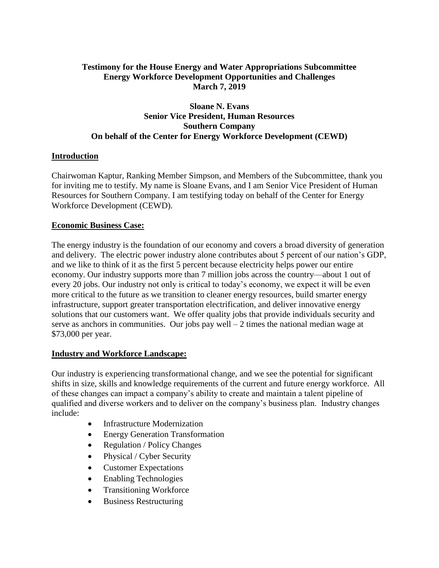## **Testimony for the House Energy and Water Appropriations Subcommittee Energy Workforce Development Opportunities and Challenges March 7, 2019**

## **Sloane N. Evans Senior Vice President, Human Resources Southern Company On behalf of the Center for Energy Workforce Development (CEWD)**

#### **Introduction**

Chairwoman Kaptur, Ranking Member Simpson, and Members of the Subcommittee, thank you for inviting me to testify. My name is Sloane Evans, and I am Senior Vice President of Human Resources for Southern Company. I am testifying today on behalf of the Center for Energy Workforce Development (CEWD).

#### **Economic Business Case:**

The energy industry is the foundation of our economy and covers a broad diversity of generation and delivery. The electric power industry alone contributes about 5 percent of our nation's GDP, and we like to think of it as the first 5 percent because electricity helps power our entire economy. Our industry supports more than 7 million jobs across the country—about 1 out of every 20 jobs. Our industry not only is critical to today's economy, we expect it will be even more critical to the future as we transition to cleaner energy resources, build smarter energy infrastructure, support greater transportation electrification, and deliver innovative energy solutions that our customers want. We offer quality jobs that provide individuals security and serve as anchors in communities. Our jobs pay well  $-2$  times the national median wage at \$73,000 per year.

#### **Industry and Workforce Landscape:**

Our industry is experiencing transformational change, and we see the potential for significant shifts in size, skills and knowledge requirements of the current and future energy workforce. All of these changes can impact a company's ability to create and maintain a talent pipeline of qualified and diverse workers and to deliver on the company's business plan. Industry changes include:

- Infrastructure Modernization
- Energy Generation Transformation
- Regulation / Policy Changes
- Physical / Cyber Security
- Customer Expectations
- Enabling Technologies
- Transitioning Workforce
- Business Restructuring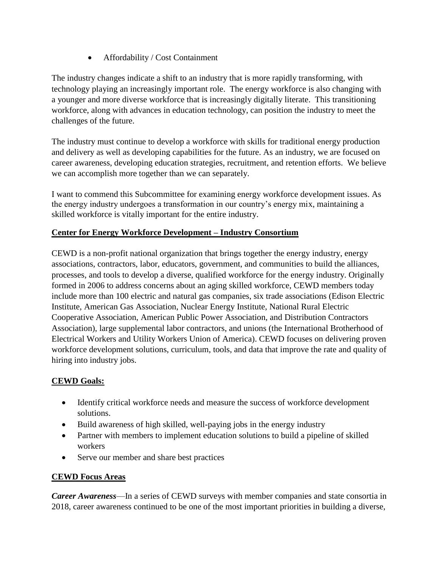• Affordability / Cost Containment

The industry changes indicate a shift to an industry that is more rapidly transforming, with technology playing an increasingly important role. The energy workforce is also changing with a younger and more diverse workforce that is increasingly digitally literate. This transitioning workforce, along with advances in education technology, can position the industry to meet the challenges of the future.

The industry must continue to develop a workforce with skills for traditional energy production and delivery as well as developing capabilities for the future. As an industry, we are focused on career awareness, developing education strategies, recruitment, and retention efforts. We believe we can accomplish more together than we can separately.

I want to commend this Subcommittee for examining energy workforce development issues. As the energy industry undergoes a transformation in our country's energy mix, maintaining a skilled workforce is vitally important for the entire industry.

# **Center for Energy Workforce Development – Industry Consortium**

CEWD is a non-profit national organization that brings together the energy industry, energy associations, contractors, labor, educators, government, and communities to build the alliances, processes, and tools to develop a diverse, qualified workforce for the energy industry. Originally formed in 2006 to address concerns about an aging skilled workforce, CEWD members today include more than 100 electric and natural gas companies, six trade associations (Edison Electric Institute, American Gas Association, Nuclear Energy Institute, National Rural Electric Cooperative Association, American Public Power Association, and Distribution Contractors Association), large supplemental labor contractors, and unions (the International Brotherhood of Electrical Workers and Utility Workers Union of America). CEWD focuses on delivering proven workforce development solutions, curriculum, tools, and data that improve the rate and quality of hiring into industry jobs.

## **CEWD Goals:**

- Identify critical workforce needs and measure the success of workforce development solutions.
- Build awareness of high skilled, well-paying jobs in the energy industry
- Partner with members to implement education solutions to build a pipeline of skilled workers
- Serve our member and share best practices

# **CEWD Focus Areas**

*Career Awareness*—In a series of CEWD surveys with member companies and state consortia in 2018, career awareness continued to be one of the most important priorities in building a diverse,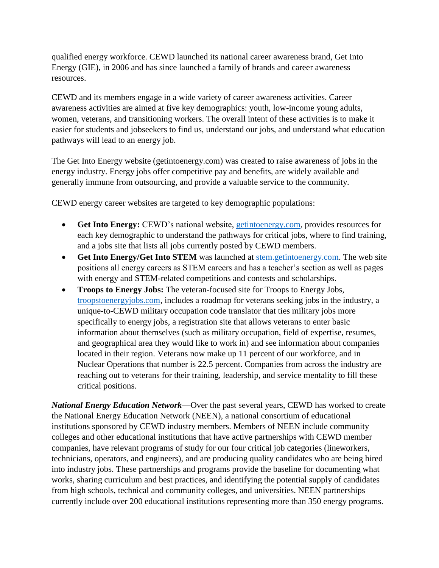qualified energy workforce. CEWD launched its national career awareness brand, Get Into Energy (GIE), in 2006 and has since launched a family of brands and career awareness resources.

CEWD and its members engage in a wide variety of career awareness activities. Career awareness activities are aimed at five key demographics: youth, low-income young adults, women, veterans, and transitioning workers. The overall intent of these activities is to make it easier for students and jobseekers to find us, understand our jobs, and understand what education pathways will lead to an energy job.

The Get Into Energy website (getintoenergy.com) was created to raise awareness of jobs in the energy industry. Energy jobs offer competitive pay and benefits, are widely available and generally immune from outsourcing, and provide a valuable service to the community.

CEWD energy career websites are targeted to key demographic populations:

- **Get Into Energy:** CEWD's national website, [getintoenergy.com,](file:///C:/Users/jjubran/AppData/Local/Microsoft/Windows/Temporary%20Internet%20Files/Content.Outlook/CJ7PX3C0/getintoenergy.com) provides resources for each key demographic to understand the pathways for critical jobs, where to find training, and a jobs site that lists all jobs currently posted by CEWD members.
- **Get Into Energy/Get Into STEM** was launched at [stem.getintoenergy.com.](file:///C:/Users/jjubran/AppData/Local/Microsoft/Windows/Temporary%20Internet%20Files/Content.Outlook/CJ7PX3C0/stem.getintoenergy.com) The web site positions all energy careers as STEM careers and has a teacher's section as well as pages with energy and STEM-related competitions and contests and scholarships.
- **Troops to Energy Jobs:** The veteran-focused site for Troops to Energy Jobs, [troopstoenergyjobs.com,](file:///C:/Users/jjubran/AppData/Local/Microsoft/Windows/Temporary%20Internet%20Files/Content.Outlook/CJ7PX3C0/troopstoenergyjobs.com) includes a roadmap for veterans seeking jobs in the industry, a unique-to-CEWD military occupation code translator that ties military jobs more specifically to energy jobs, a registration site that allows veterans to enter basic information about themselves (such as military occupation, field of expertise, resumes, and geographical area they would like to work in) and see information about companies located in their region. Veterans now make up 11 percent of our workforce, and in Nuclear Operations that number is 22.5 percent. Companies from across the industry are reaching out to veterans for their training, leadership, and service mentality to fill these critical positions.

*National Energy Education Network*—Over the past several years, CEWD has worked to create the National Energy Education Network (NEEN), a national consortium of educational institutions sponsored by CEWD industry members. Members of NEEN include community colleges and other educational institutions that have active partnerships with CEWD member companies, have relevant programs of study for our four critical job categories (lineworkers, technicians, operators, and engineers), and are producing quality candidates who are being hired into industry jobs. These partnerships and programs provide the baseline for documenting what works, sharing curriculum and best practices, and identifying the potential supply of candidates from high schools, technical and community colleges, and universities. NEEN partnerships currently include over 200 educational institutions representing more than 350 energy programs.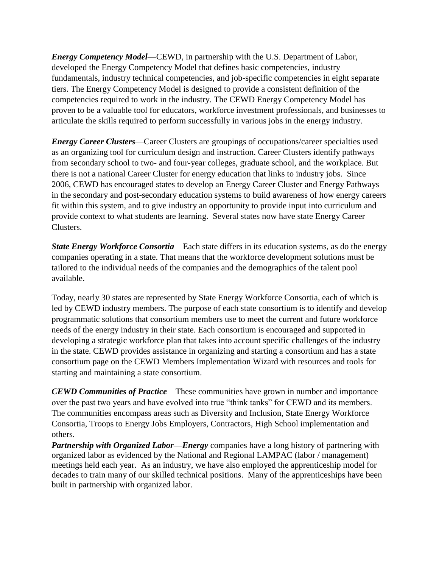*Energy Competency Model*—CEWD, in partnership with the U.S. Department of Labor, developed the Energy Competency Model that defines basic competencies, industry fundamentals, industry technical competencies, and job-specific competencies in eight separate tiers. The Energy Competency Model is designed to provide a consistent definition of the competencies required to work in the industry. The CEWD Energy Competency Model has proven to be a valuable tool for educators, workforce investment professionals, and businesses to articulate the skills required to perform successfully in various jobs in the energy industry.

*Energy Career Clusters*—Career Clusters are groupings of occupations/career specialties used as an organizing tool for curriculum design and instruction. Career Clusters identify pathways from secondary school to two- and four-year colleges, graduate school, and the workplace. But there is not a national Career Cluster for energy education that links to industry jobs. Since 2006, CEWD has encouraged states to develop an Energy Career Cluster and Energy Pathways in the secondary and post-secondary education systems to build awareness of how energy careers fit within this system, and to give industry an opportunity to provide input into curriculum and provide context to what students are learning. Several states now have state Energy Career Clusters.

*State Energy Workforce Consortia*—Each state differs in its education systems, as do the energy companies operating in a state. That means that the workforce development solutions must be tailored to the individual needs of the companies and the demographics of the talent pool available.

Today, nearly 30 states are represented by State Energy Workforce Consortia, each of which is led by CEWD industry members. The purpose of each state consortium is to identify and develop programmatic solutions that consortium members use to meet the current and future workforce needs of the energy industry in their state. Each consortium is encouraged and supported in developing a strategic workforce plan that takes into account specific challenges of the industry in the state. CEWD provides assistance in organizing and starting a consortium and has a state consortium page on the CEWD Members Implementation Wizard with resources and tools for starting and maintaining a state consortium.

*CEWD Communities of Practice*—These communities have grown in number and importance over the past two years and have evolved into true "think tanks" for CEWD and its members. The communities encompass areas such as Diversity and Inclusion, State Energy Workforce Consortia, Troops to Energy Jobs Employers, Contractors, High School implementation and others.

*Partnership with Organized Labor—Energy* companies have a long history of partnering with organized labor as evidenced by the National and Regional LAMPAC (labor / management) meetings held each year. As an industry, we have also employed the apprenticeship model for decades to train many of our skilled technical positions. Many of the apprenticeships have been built in partnership with organized labor.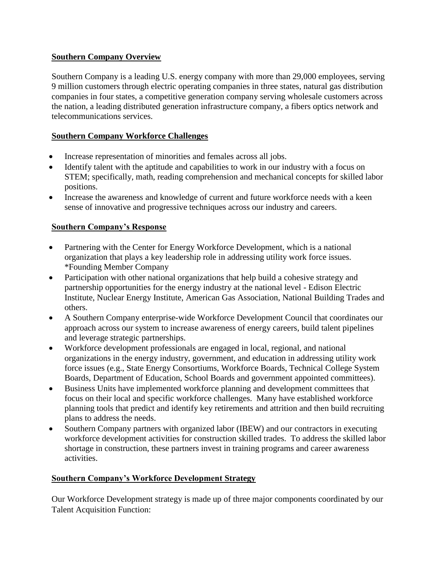## **Southern Company Overview**

Southern Company is a leading U.S. energy company with more than 29,000 employees, serving 9 million customers through electric operating companies in three states, natural gas distribution companies in four states, a competitive generation company serving wholesale customers across the nation, a leading distributed generation infrastructure company, a fibers optics network and telecommunications services.

# **Southern Company Workforce Challenges**

- Increase representation of minorities and females across all jobs.
- Identify talent with the aptitude and capabilities to work in our industry with a focus on STEM; specifically, math, reading comprehension and mechanical concepts for skilled labor positions.
- Increase the awareness and knowledge of current and future workforce needs with a keen sense of innovative and progressive techniques across our industry and careers.

# **Southern Company's Response**

- Partnering with the Center for Energy Workforce Development, which is a national organization that plays a key leadership role in addressing utility work force issues. \*Founding Member Company
- Participation with other national organizations that help build a cohesive strategy and partnership opportunities for the energy industry at the national level - Edison Electric Institute, Nuclear Energy Institute, American Gas Association, National Building Trades and others.
- A Southern Company enterprise-wide Workforce Development Council that coordinates our approach across our system to increase awareness of energy careers, build talent pipelines and leverage strategic partnerships.
- Workforce development professionals are engaged in local, regional, and national organizations in the energy industry, government, and education in addressing utility work force issues (e.g., State Energy Consortiums, Workforce Boards, Technical College System Boards, Department of Education, School Boards and government appointed committees).
- Business Units have implemented workforce planning and development committees that focus on their local and specific workforce challenges. Many have established workforce planning tools that predict and identify key retirements and attrition and then build recruiting plans to address the needs.
- Southern Company partners with organized labor (IBEW) and our contractors in executing workforce development activities for construction skilled trades. To address the skilled labor shortage in construction, these partners invest in training programs and career awareness activities.

# **Southern Company's Workforce Development Strategy**

Our Workforce Development strategy is made up of three major components coordinated by our Talent Acquisition Function: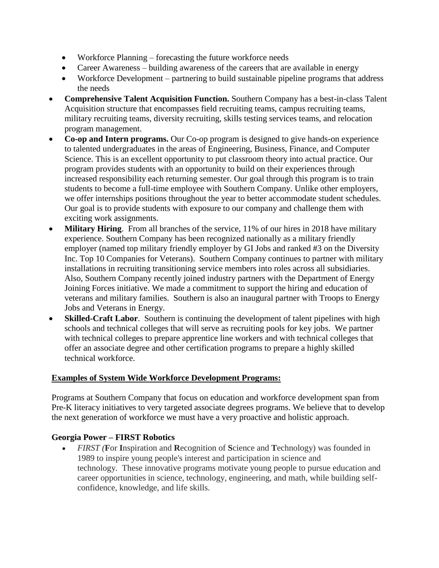- Workforce Planning forecasting the future workforce needs
- Career Awareness building awareness of the careers that are available in energy
- Workforce Development partnering to build sustainable pipeline programs that address the needs
- **Comprehensive Talent Acquisition Function.** Southern Company has a best-in-class Talent Acquisition structure that encompasses field recruiting teams, campus recruiting teams, military recruiting teams, diversity recruiting, skills testing services teams, and relocation program management.
- **Co-op and Intern programs.** Our Co-op program is designed to give hands-on experience to talented undergraduates in the areas of Engineering, Business, Finance, and Computer Science. This is an excellent opportunity to put classroom theory into actual practice. Our program provides students with an opportunity to build on their experiences through increased responsibility each returning semester. Our goal through this program is to train students to become a full-time employee with Southern Company. Unlike other employers, we offer internships positions throughout the year to better accommodate student schedules. Our goal is to provide students with exposure to our company and challenge them with exciting work assignments.
- **Military Hiring.** From all branches of the service, 11% of our hires in 2018 have military experience. Southern Company has been recognized nationally as a military friendly employer (named top military friendly employer by GI Jobs and ranked #3 on the Diversity Inc. Top 10 Companies for Veterans).Southern Company continues to partner with military installations in recruiting transitioning service members into roles across all subsidiaries. Also, Southern Company recently joined industry partners with the Department of Energy Joining Forces initiative. We made a commitment to support the hiring and education of veterans and military families. Southern is also an inaugural partner with Troops to Energy Jobs and Veterans in Energy.
- **Skilled-Craft Labor**. Southern is continuing the development of talent pipelines with high schools and technical colleges that will serve as recruiting pools for key jobs. We partner with technical colleges to prepare apprentice line workers and with technical colleges that offer an associate degree and other certification programs to prepare a highly skilled technical workforce.

# **Examples of System Wide Workforce Development Programs:**

Programs at Southern Company that focus on education and workforce development span from Pre-K literacy initiatives to very targeted associate degrees programs. We believe that to develop the next generation of workforce we must have a very proactive and holistic approach.

# **Georgia Power – FIRST Robotics**

• *FIRST (***F**or **I**nspiration and **R**ecognition of **S**cience and **T**echnology) was founded in 1989 to inspire young people's interest and participation in science and technology. These innovative programs motivate young people to pursue education and career opportunities in science, technology, engineering, and math, while building selfconfidence, knowledge, and life skills.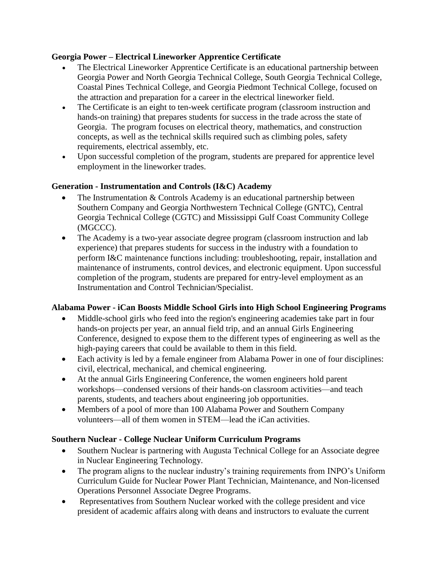# **Georgia Power – Electrical Lineworker Apprentice Certificate**

- The Electrical Lineworker Apprentice Certificate is an educational partnership between Georgia Power and North Georgia Technical College, South Georgia Technical College, Coastal Pines Technical College, and Georgia Piedmont Technical College, focused on the attraction and preparation for a career in the electrical lineworker field.
- The Certificate is an eight to ten-week certificate program (classroom instruction and hands-on training) that prepares students for success in the trade across the state of Georgia. The program focuses on electrical theory, mathematics, and construction concepts, as well as the technical skills required such as climbing poles, safety requirements, electrical assembly, etc.
- Upon successful completion of the program, students are prepared for apprentice level employment in the lineworker trades.

# **Generation - Instrumentation and Controls (I&C) Academy**

- The Instrumentation & Controls Academy is an educational partnership between Southern Company and Georgia Northwestern Technical College (GNTC), Central Georgia Technical College (CGTC) and Mississippi Gulf Coast Community College (MGCCC).
- The Academy is a two-year associate degree program (classroom instruction and lab experience) that prepares students for success in the industry with a foundation to perform I&C maintenance functions including: troubleshooting, repair, installation and maintenance of instruments, control devices, and electronic equipment. Upon successful completion of the program, students are prepared for entry-level employment as an Instrumentation and Control Technician/Specialist.

# **Alabama Power - iCan Boosts Middle School Girls into High School Engineering Programs**

- Middle-school girls who feed into the region's engineering academies take part in four hands-on projects per year, an annual field trip, and an annual Girls Engineering Conference, designed to expose them to the different types of engineering as well as the high-paying careers that could be available to them in this field.
- Each activity is led by a female engineer from Alabama Power in one of four disciplines: civil, electrical, mechanical, and chemical engineering.
- At the annual Girls Engineering Conference, the women engineers hold parent workshops—condensed versions of their hands-on classroom activities—and teach parents, students, and teachers about engineering job opportunities.
- Members of a pool of more than 100 Alabama Power and Southern Company volunteers—all of them women in STEM—lead the iCan activities.

## **Southern Nuclear - College Nuclear Uniform Curriculum Programs**

- Southern Nuclear is partnering with Augusta Technical College for an Associate degree in Nuclear Engineering Technology.
- The program aligns to the nuclear industry's training requirements from INPO's Uniform Curriculum Guide for Nuclear Power Plant Technician, Maintenance, and Non-licensed Operations Personnel Associate Degree Programs.
- Representatives from Southern Nuclear worked with the college president and vice president of academic affairs along with deans and instructors to evaluate the current